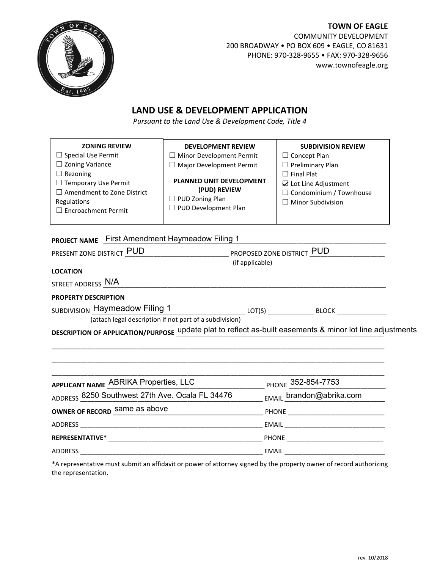

**TOWN OF EAGLE** COMMUNITY DEVELOPMENT 200 BROADWAY • PO BOX 609 • EAGLE, CO 81631 PHONE: 970-328-9655 • FAX: 970-328-9656 www.townofeagle.org

## **LAND USE & DEVELOPMENT APPLICATION**

*Pursuant to the Land Use & Development Code, Title 4*

| <b>ZONING REVIEW</b><br>$\Box$ Special Use Permit<br>$\Box$ Zoning Variance<br>$\Box$ Rezoning<br>$\Box$ Temporary Use Permit<br>$\Box$ Amendment to Zone District<br>Regulations<br>$\Box$ Encroachment Permit | <b>DEVELOPMENT REVIEW</b><br>$\Box$ Minor Development Permit<br>$\Box$ Major Development Permit<br>PLANNED UNIT DEVELOPMENT<br>(PUD) REVIEW<br>$\Box$ PUD Zoning Plan<br>$\Box$ PUD Development Plan | <b>SUBDIVISION REVIEW</b><br>$\Box$ Concept Plan<br>Preliminary Plan<br><b>Final Plat</b><br>$\overline{\omega}$ Lot Line Adjustment<br>Condominium / Townhouse<br><b>Minor Subdivision</b> |
|-----------------------------------------------------------------------------------------------------------------------------------------------------------------------------------------------------------------|------------------------------------------------------------------------------------------------------------------------------------------------------------------------------------------------------|---------------------------------------------------------------------------------------------------------------------------------------------------------------------------------------------|
| PROJECT NAME First Amendment Haymeadow Filing 1<br>PRESENT ZONE DISTRICT PUD                                                                                                                                    | <b>NORTHLETTE PROPOSED ZONE DISTRICT PUD</b>                                                                                                                                                         |                                                                                                                                                                                             |
|                                                                                                                                                                                                                 | (if applicable)                                                                                                                                                                                      |                                                                                                                                                                                             |
| <b>LOCATION</b>                                                                                                                                                                                                 |                                                                                                                                                                                                      |                                                                                                                                                                                             |
| STREET ADDRESS N/A                                                                                                                                                                                              |                                                                                                                                                                                                      |                                                                                                                                                                                             |
| <b>PROPERTY DESCRIPTION</b>                                                                                                                                                                                     |                                                                                                                                                                                                      |                                                                                                                                                                                             |
| SUBDIVISION Haymeadow Filing 1<br>$\mathsf{LOT}(\mathsf{S})$ $\qquad \qquad \mathsf{BLOCK}$                                                                                                                     |                                                                                                                                                                                                      |                                                                                                                                                                                             |
|                                                                                                                                                                                                                 | (attach legal description if not part of a subdivision)                                                                                                                                              |                                                                                                                                                                                             |
|                                                                                                                                                                                                                 | DESCRIPTION OF APPLICATION/PURPOSE update plat to reflect as-built easements & minor lot line adjustments                                                                                            |                                                                                                                                                                                             |
|                                                                                                                                                                                                                 |                                                                                                                                                                                                      |                                                                                                                                                                                             |
|                                                                                                                                                                                                                 |                                                                                                                                                                                                      |                                                                                                                                                                                             |
|                                                                                                                                                                                                                 |                                                                                                                                                                                                      |                                                                                                                                                                                             |

| APPLICANT NAME ABRIKA Properties, LLC           | PHONE 352-854-7753          |
|-------------------------------------------------|-----------------------------|
| ADDRESS 8250 Southwest 27th Ave. Ocala FL 34476 | EMAIL brandon@abrika.com    |
| OWNER OF RECORD Same as above                   | PHONE _________________     |
| ADDRESS AND ARRAIGNMENT CONTINUES.              | EMAIL                       |
| REPRESENTATIVE* THE REPRESENTATIVE              | PHONE <b>Example 20</b>     |
| ADDRESS                                         | EMAIL _____________________ |

\*A representative must submit an affidavit or power of attorney signed by the property owner of record authorizing the representation.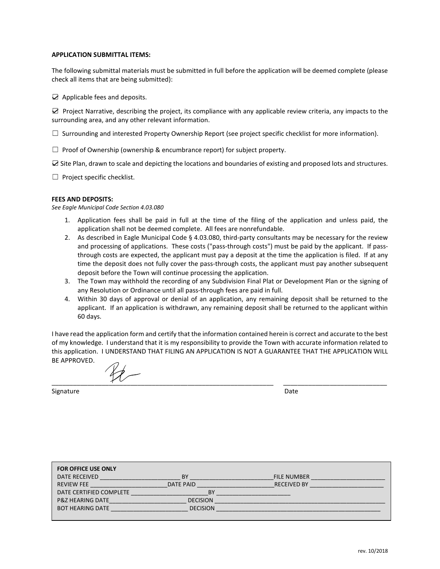## **APPLICATION SUBMITTAL ITEMS:**

The following submittal materials must be submitted in full before the application will be deemed complete (please check all items that are being submitted):

 $\Box$  Applicable fees and deposits.

 $\boxtimes$  Project Narrative, describing the project, its compliance with any applicable review criteria, any impacts to the surrounding area, and any other relevant information.

 $\Box$  Surrounding and interested Property Ownership Report (see project specific checklist for more information).

 $\Box$  Proof of Ownership (ownership & encumbrance report) for subject property.

܆ Site Plan, drawn to scale and depicting the locations and boundaries of existing and proposed lots and structures.

 $\Box$  Project specific checklist.

## **FEES AND DEPOSITS:**

*See Eagle Municipal Code Section 4.03.080*

- 1. Application fees shall be paid in full at the time of the filing of the application and unless paid, the application shall not be deemed complete. All fees are nonrefundable.
- 2. As described in Eagle Municipal Code § 4.03.080, third-party consultants may be necessary for the review and processing of applications. These costs ("pass-through costs") must be paid by the applicant. If passthrough costs are expected, the applicant must pay a deposit at the time the application is filed. If at any time the deposit does not fully cover the pass-through costs, the applicant must pay another subsequent deposit before the Town will continue processing the application.
- 3. The Town may withhold the recording of any Subdivision Final Plat or Development Plan or the signing of any Resolution or Ordinance until all pass-through fees are paid in full.
- 4. Within 30 days of approval or denial of an application, any remaining deposit shall be returned to the applicant. If an application is withdrawn, any remaining deposit shall be returned to the applicant within 60 days.

I have read the application form and certify that the information contained herein is correct and accurate to the best of my knowledge. I understand that it is my responsibility to provide the Town with accurate information related to this application. I UNDERSTAND THAT FILING AN APPLICATION IS NOT A GUARANTEE THAT THE APPLICATION WILL BE APPROVED.

\_\_\_\_\_\_\_\_\_\_\_\_\_\_\_\_\_\_\_\_\_\_\_\_\_\_\_\_\_\_\_\_\_\_\_\_\_\_\_\_\_\_\_\_\_\_\_\_\_\_\_\_\_\_\_\_\_\_\_\_\_\_ \_\_\_\_\_\_\_\_\_\_\_\_\_\_\_\_\_\_\_\_\_\_\_\_\_\_\_\_\_

Signature **Date** 

| <b>FOR OFFICE USE ONLY</b>  |                  |                    |
|-----------------------------|------------------|--------------------|
| DATE RECEIVED               | BY               | <b>FILE NUMBER</b> |
| <b>REVIEW FEE</b>           | <b>DATE PAID</b> | <b>RECEIVED BY</b> |
| DATE CERTIFIED COMPLETE     | <b>BY</b>        |                    |
| <b>P&amp;Z HEARING DATE</b> | <b>DECISION</b>  |                    |
| <b>BOT HEARING DATE</b>     | <b>DECISION</b>  |                    |
|                             |                  |                    |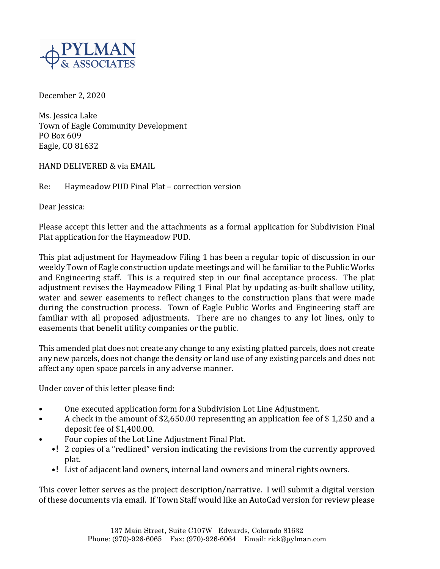December 2, 2020

Ms. Jessica Lake Town of Eagle Community Development PO Box 609 Eagle, CO 81632

HAND DELIVERED & via EMAIL

Re: Haymeadow PUD Final Plat – correction version

Dear Jessica:

Please accept this letter and the attachments as a formal application for Subdivision Final Plat application for the Haymeadow PUD.

This plat adjustment for Haymeadow Filing 1 has been a regular topic of discussion in our weekly Town of Eagle construction update meetings and will be familiar to the Public Works and Engineering staff. This is a required step in our final acceptance process. The plat adjustment revises the Haymeadow Filing 1 Final Plat by updating as-built shallow utility, water and sewer easements to reflect changes to the construction plans that were made during the construction process. Town of Eagle Public Works and Engineering staff are familiar with all proposed adjustments. There are no changes to any lot lines, only to easements that benefit utility companies or the public.

This amended plat does not create any change to any existing platted parcels, does not create any new parcels, does not change the density or land use of any existing parcels and does not affect any open space parcels in any adverse manner.

Under cover of this letter please find:

- One executed application form for a Subdivision Lot Line Adjustment.
- A check in the amount of \$2,650.00 representing an application fee of \$1,250 and a deposit fee of  $$1,400.00$ .
- Four copies of the Lot Line Adjustment Final Plat.
	- •! 2 copies of a "redlined" version indicating the revisions from the currently approved plat.
	- •! List of adjacent land owners, internal land owners and mineral rights owners.

This cover letter serves as the project description/narrative. I will submit a digital version of these documents via email. If Town Staff would like an AutoCad version for review please